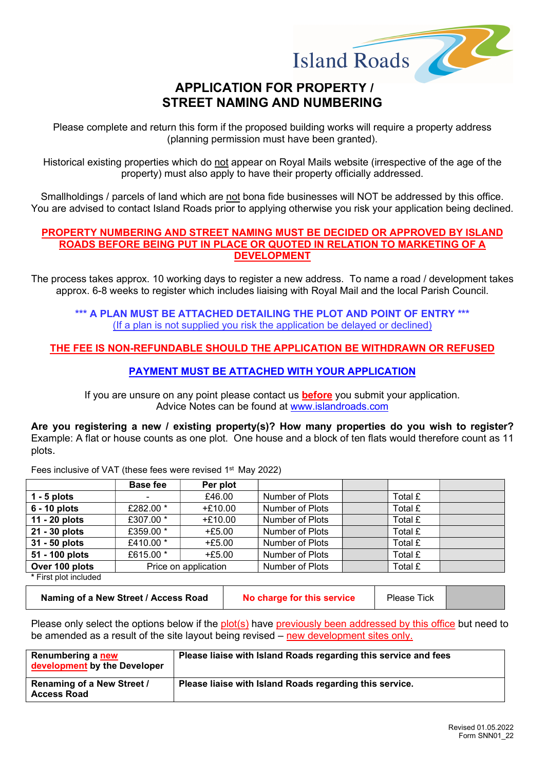

# STREET NAMING AND NUMBERING

Please complete and return this form if the proposed building works will require a property address (planning permission must have been granted).

Historical existing properties which do not appear on Royal Mails website (irrespective of the age of the property) must also apply to have their property officially addressed.

Smallholdings / parcels of land which are not bona fide businesses will NOT be addressed by this office. You are advised to contact Island Roads prior to applying otherwise you risk your application being declined.

#### PROPERTY NUMBERING AND STREET NAMING MUST BE DECIDED OR APPROVED BY ISLAND ROADS BEFORE BEING PUT IN PLACE OR QUOTED IN RELATION TO MARKETING OF A **DEVELOPMENT**

The process takes approx. 10 working days to register a new address. To name a road / development takes approx. 6-8 weeks to register which includes liaising with Royal Mail and the local Parish Council.

#### \*\*\* A PLAN MUST BE ATTACHED DETAILING THE PLOT AND POINT OF ENTRY \*\*\* (If a plan is not supplied you risk the application be delayed or declined)

#### THE FEE IS NON-REFUNDABLE SHOULD THE APPLICATION BE WITHDRAWN OR REFUSED

#### PAYMENT MUST BE ATTACHED WITH YOUR APPLICATION

If you are unsure on any point please contact us **before** you submit your application. Advice Notes can be found at www.islandroads.com

Are you registering a new / existing property(s)? How many properties do you wish to register? Example: A flat or house counts as one plot. One house and a block of ten flats would therefore count as 11 plots.

|                        | Base fee  | Per plot             |                 |         |  |
|------------------------|-----------|----------------------|-----------------|---------|--|
| $1 - 5$ plots          | -         | £46.00               | Number of Plots | Total £ |  |
| $6 - 10$ plots         | £282.00 * | $+£10.00$            | Number of Plots | Total £ |  |
| 11 - 20 plots          | £307.00 * | $+£10.00$            | Number of Plots | Total £ |  |
| 21 - 30 plots          | £359.00 * | $+£5.00$             | Number of Plots | Total £ |  |
| 31 - 50 plots          | £410.00 * | $+£5.00$             | Number of Plots | Total £ |  |
| 51 - 100 plots         | £615.00 * | $+£5.00$             | Number of Plots | Total £ |  |
| Over 100 plots         |           | Price on application | Number of Plots | Total £ |  |
| $*$ First platingluded |           |                      |                 |         |  |

Fees inclusive of VAT (these fees were revised 1<sup>st</sup> May 2022)

First plot included

Naming of a New Street / Access Road No charge for this service Please Tick

Please only select the options below if the plot(s) have previously been addressed by this office but need to be amended as a result of the site layout being revised – new development sites only.

| Renumbering a new<br>development by the Developer | Please liaise with Island Roads regarding this service and fees |
|---------------------------------------------------|-----------------------------------------------------------------|
| Renaming of a New Street /<br><b>Access Road</b>  | Please liaise with Island Roads regarding this service.         |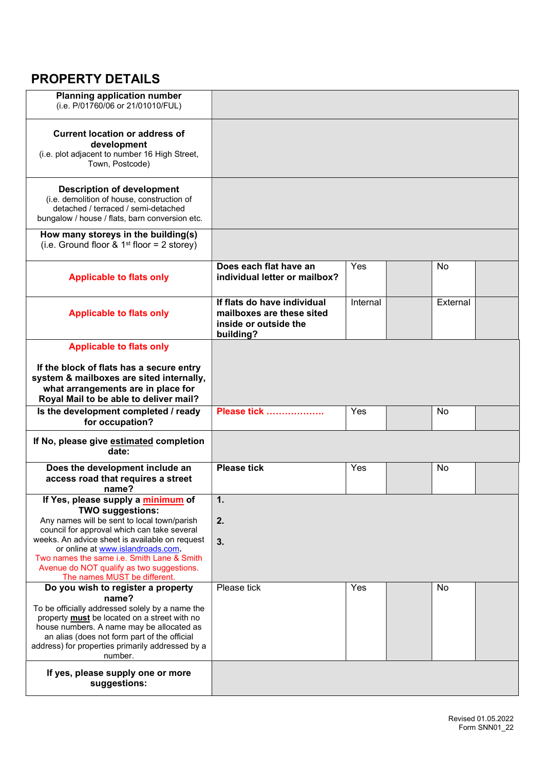# PROPERTY DETAILS

| <b>Planning application number</b><br>(i.e. P/01760/06 or 21/01010/FUL)                                                                                                                                                                                                                                                                                                       |                                                                                                |          |           |
|-------------------------------------------------------------------------------------------------------------------------------------------------------------------------------------------------------------------------------------------------------------------------------------------------------------------------------------------------------------------------------|------------------------------------------------------------------------------------------------|----------|-----------|
| <b>Current location or address of</b><br>development<br>(i.e. plot adjacent to number 16 High Street,<br>Town, Postcode)                                                                                                                                                                                                                                                      |                                                                                                |          |           |
| <b>Description of development</b><br>(i.e. demolition of house, construction of<br>detached / terraced / semi-detached<br>bungalow / house / flats, barn conversion etc.                                                                                                                                                                                                      |                                                                                                |          |           |
| How many storeys in the building(s)<br>(i.e. Ground floor $& 1st$ floor = 2 storey)                                                                                                                                                                                                                                                                                           |                                                                                                |          |           |
| <b>Applicable to flats only</b>                                                                                                                                                                                                                                                                                                                                               | Does each flat have an<br>individual letter or mailbox?                                        | Yes      | <b>No</b> |
| <b>Applicable to flats only</b>                                                                                                                                                                                                                                                                                                                                               | If flats do have individual<br>mailboxes are these sited<br>inside or outside the<br>building? | Internal | External  |
| <b>Applicable to flats only</b>                                                                                                                                                                                                                                                                                                                                               |                                                                                                |          |           |
| If the block of flats has a secure entry<br>system & mailboxes are sited internally,<br>what arrangements are in place for<br>Royal Mail to be able to deliver mail?                                                                                                                                                                                                          |                                                                                                |          |           |
| Is the development completed / ready<br>for occupation?                                                                                                                                                                                                                                                                                                                       | Please tick                                                                                    | Yes      | No.       |
| If No, please give estimated completion<br>date:                                                                                                                                                                                                                                                                                                                              |                                                                                                |          |           |
| Does the development include an<br>access road that requires a street<br>name?                                                                                                                                                                                                                                                                                                | <b>Please tick</b>                                                                             | Yes      | <b>No</b> |
| If Yes, please supply a minimum of<br><b>TWO suggestions:</b><br>Any names will be sent to local town/parish<br>council for approval which can take several<br>weeks. An advice sheet is available on request<br>or online at www.islandroads.com.<br>Two names the same i.e. Smith Lane & Smith<br>Avenue do NOT qualify as two suggestions.<br>The names MUST be different. | 1.<br>2.<br>3.                                                                                 |          |           |
| Do you wish to register a property<br>name?<br>To be officially addressed solely by a name the<br>property <b>must</b> be located on a street with no<br>house numbers. A name may be allocated as<br>an alias (does not form part of the official<br>address) for properties primarily addressed by a<br>number.                                                             | Please tick                                                                                    | Yes      | No        |
| If yes, please supply one or more<br>suggestions:                                                                                                                                                                                                                                                                                                                             |                                                                                                |          |           |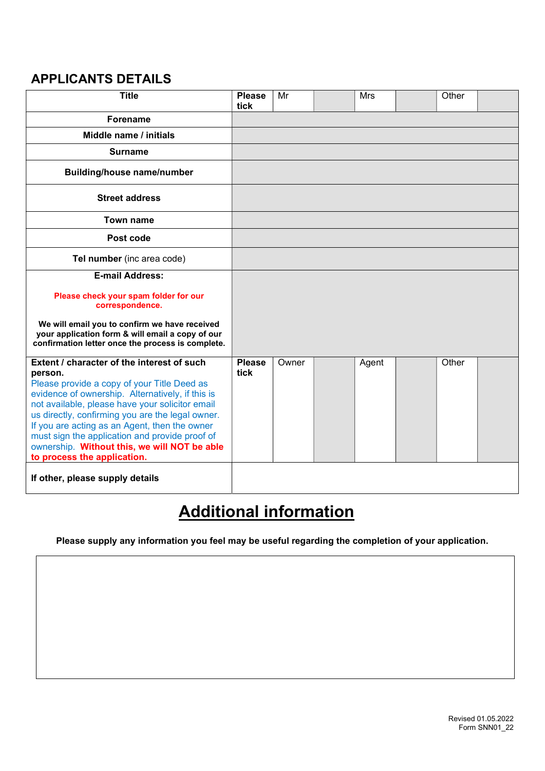## APPLICANTS DETAILS

| <b>Title</b>                                                                                                                                                                                                                                                                                                                                                                                                                                      | <b>Please</b><br>tick | Mr    | <b>Mrs</b> | Other |  |
|---------------------------------------------------------------------------------------------------------------------------------------------------------------------------------------------------------------------------------------------------------------------------------------------------------------------------------------------------------------------------------------------------------------------------------------------------|-----------------------|-------|------------|-------|--|
| <b>Forename</b>                                                                                                                                                                                                                                                                                                                                                                                                                                   |                       |       |            |       |  |
| Middle name / initials                                                                                                                                                                                                                                                                                                                                                                                                                            |                       |       |            |       |  |
| <b>Surname</b>                                                                                                                                                                                                                                                                                                                                                                                                                                    |                       |       |            |       |  |
| <b>Building/house name/number</b>                                                                                                                                                                                                                                                                                                                                                                                                                 |                       |       |            |       |  |
| <b>Street address</b>                                                                                                                                                                                                                                                                                                                                                                                                                             |                       |       |            |       |  |
| Town name                                                                                                                                                                                                                                                                                                                                                                                                                                         |                       |       |            |       |  |
| Post code                                                                                                                                                                                                                                                                                                                                                                                                                                         |                       |       |            |       |  |
| Tel number (inc area code)                                                                                                                                                                                                                                                                                                                                                                                                                        |                       |       |            |       |  |
| <b>E-mail Address:</b>                                                                                                                                                                                                                                                                                                                                                                                                                            |                       |       |            |       |  |
| Please check your spam folder for our<br>correspondence.                                                                                                                                                                                                                                                                                                                                                                                          |                       |       |            |       |  |
| We will email you to confirm we have received<br>your application form & will email a copy of our<br>confirmation letter once the process is complete.                                                                                                                                                                                                                                                                                            |                       |       |            |       |  |
| Extent / character of the interest of such<br>person.<br>Please provide a copy of your Title Deed as<br>evidence of ownership. Alternatively, if this is<br>not available, please have your solicitor email<br>us directly, confirming you are the legal owner.<br>If you are acting as an Agent, then the owner<br>must sign the application and provide proof of<br>ownership. Without this, we will NOT be able<br>to process the application. | <b>Please</b><br>tick | Owner | Agent      | Other |  |
| If other, please supply details                                                                                                                                                                                                                                                                                                                                                                                                                   |                       |       |            |       |  |

# Additional information

Please supply any information you feel may be useful regarding the completion of your application.